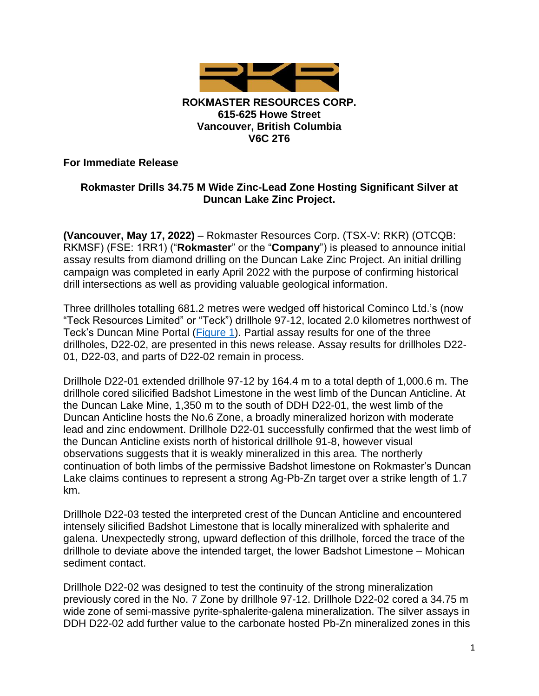

### **ROKMASTER RESOURCES CORP. 615-625 Howe Street Vancouver, British Columbia V6C 2T6**

### **For Immediate Release**

# **Rokmaster Drills 34.75 M Wide Zinc-Lead Zone Hosting Significant Silver at Duncan Lake Zinc Project.**

**(Vancouver, May 17, 2022)** – Rokmaster Resources Corp. (TSX-V: RKR) (OTCQB: RKMSF) (FSE: 1RR1) ("**Rokmaster**" or the "**Company**") is pleased to announce initial assay results from diamond drilling on the Duncan Lake Zinc Project. An initial drilling campaign was completed in early April 2022 with the purpose of confirming historical drill intersections as well as providing valuable geological information.

Three drillholes totalling 681.2 metres were wedged off historical Cominco Ltd.'s (now "Teck Resources Limited" or "Teck") drillhole 97-12, located 2.0 kilometres northwest of Teck's Duncan Mine Portal [\(Figure 1\)](https://rokmaster.com/site/assets/files/3872/20220514_duncan_figure_1.jpg). Partial assay results for one of the three drillholes, D22-02, are presented in this news release. Assay results for drillholes D22- 01, D22-03, and parts of D22-02 remain in process.

Drillhole D22-01 extended drillhole 97-12 by 164.4 m to a total depth of 1,000.6 m. The drillhole cored silicified Badshot Limestone in the west limb of the Duncan Anticline. At the Duncan Lake Mine, 1,350 m to the south of DDH D22-01, the west limb of the Duncan Anticline hosts the No.6 Zone, a broadly mineralized horizon with moderate lead and zinc endowment. Drillhole D22-01 successfully confirmed that the west limb of the Duncan Anticline exists north of historical drillhole 91-8, however visual observations suggests that it is weakly mineralized in this area. The northerly continuation of both limbs of the permissive Badshot limestone on Rokmaster's Duncan Lake claims continues to represent a strong Ag-Pb-Zn target over a strike length of 1.7 km.

Drillhole D22-03 tested the interpreted crest of the Duncan Anticline and encountered intensely silicified Badshot Limestone that is locally mineralized with sphalerite and galena. Unexpectedly strong, upward deflection of this drillhole, forced the trace of the drillhole to deviate above the intended target, the lower Badshot Limestone – Mohican sediment contact.

Drillhole D22-02 was designed to test the continuity of the strong mineralization previously cored in the No. 7 Zone by drillhole 97-12. Drillhole D22-02 cored a 34.75 m wide zone of semi-massive pyrite-sphalerite-galena mineralization. The silver assays in DDH D22-02 add further value to the carbonate hosted Pb-Zn mineralized zones in this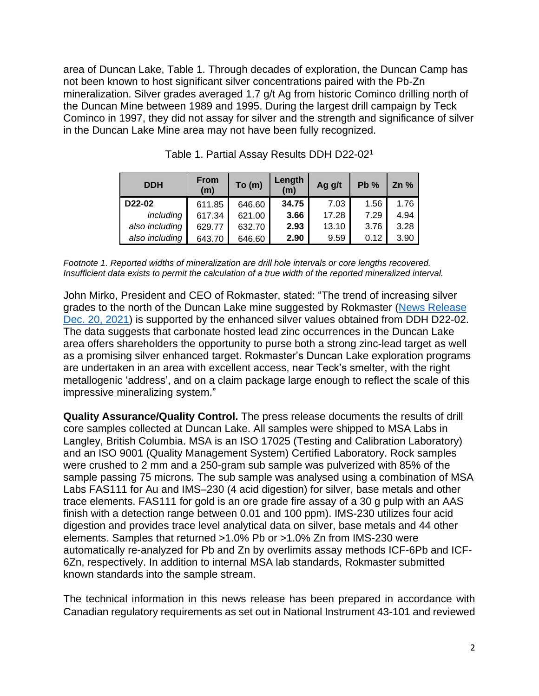area of Duncan Lake, Table 1. Through decades of exploration, the Duncan Camp has not been known to host significant silver concentrations paired with the Pb-Zn mineralization. Silver grades averaged 1.7 g/t Ag from historic Cominco drilling north of the Duncan Mine between 1989 and 1995. During the largest drill campaign by Teck Cominco in 1997, they did not assay for silver and the strength and significance of silver in the Duncan Lake Mine area may not have been fully recognized.

| <b>DDH</b>     | <b>From</b><br>(m) | To (m) | Length<br>(m) | Ag g/t | Pb%  | Zn % |
|----------------|--------------------|--------|---------------|--------|------|------|
| D22-02         | 611.85             | 646.60 | 34.75         | 7.03   | 1.56 | 1.76 |
| including      | 617.34             | 621.00 | 3.66          | 17.28  | 7.29 | 4.94 |
| also including | 629.77             | 632.70 | 2.93          | 13.10  | 3.76 | 3.28 |
| also including | 643.70             | 646.60 | 2.90          | 9.59   | 0.12 | 3.90 |

Table 1. Partial Assay Results DDH D22-02<sup>1</sup>

*Footnote 1. Reported widths of mineralization are drill hole intervals or core lengths recovered. Insufficient data exists to permit the calculation of a true width of the reported mineralized interval.* 

John Mirko, President and CEO of Rokmaster, stated: "The trend of increasing silver grades to the north of the Duncan Lake mine suggested by Rokmaster [\(News Release](https://rokmaster.com/news/rokmaster-updates-its-advanced-stage-duncan-lake-zn-pb-ag-project/)  [Dec. 20, 2021\)](https://rokmaster.com/news/rokmaster-updates-its-advanced-stage-duncan-lake-zn-pb-ag-project/) is supported by the enhanced silver values obtained from DDH D22-02. The data suggests that carbonate hosted lead zinc occurrences in the Duncan Lake area offers shareholders the opportunity to purse both a strong zinc-lead target as well as a promising silver enhanced target. Rokmaster's Duncan Lake exploration programs are undertaken in an area with excellent access, near Teck's smelter, with the right metallogenic 'address', and on a claim package large enough to reflect the scale of this impressive mineralizing system."

**Quality Assurance/Quality Control.** The press release documents the results of drill core samples collected at Duncan Lake. All samples were shipped to MSA Labs in Langley, British Columbia. MSA is an ISO 17025 (Testing and Calibration Laboratory) and an ISO 9001 (Quality Management System) Certified Laboratory. Rock samples were crushed to 2 mm and a 250-gram sub sample was pulverized with 85% of the sample passing 75 microns. The sub sample was analysed using a combination of MSA Labs FAS111 for Au and IMS–230 (4 acid digestion) for silver, base metals and other trace elements. FAS111 for gold is an ore grade fire assay of a 30 g pulp with an AAS finish with a detection range between 0.01 and 100 ppm). IMS-230 utilizes four acid digestion and provides trace level analytical data on silver, base metals and 44 other elements. Samples that returned >1.0% Pb or >1.0% Zn from IMS-230 were automatically re-analyzed for Pb and Zn by overlimits assay methods ICF-6Pb and ICF-6Zn, respectively. In addition to internal MSA lab standards, Rokmaster submitted known standards into the sample stream.

The technical information in this news release has been prepared in accordance with Canadian regulatory requirements as set out in National Instrument 43-101 and reviewed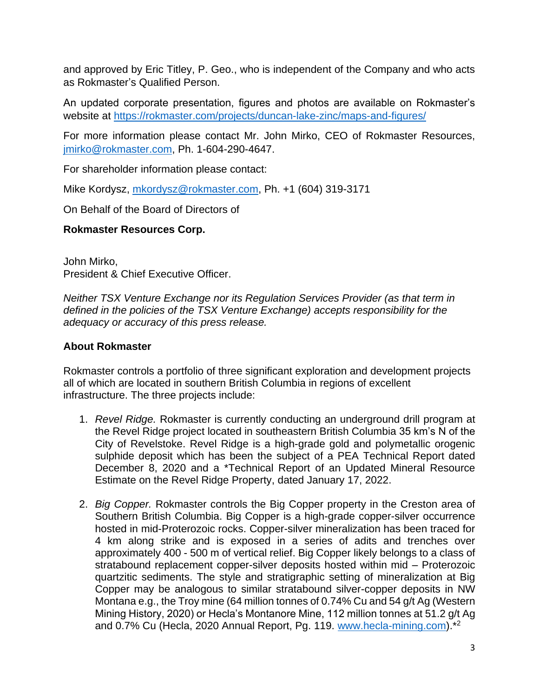and approved by Eric Titley, P. Geo., who is independent of the Company and who acts as Rokmaster's Qualified Person.

An updated corporate presentation, figures and photos are available on Rokmaster's website at<https://rokmaster.com/projects/duncan-lake-zinc/maps-and-figures/>

For more information please contact Mr. John Mirko, CEO of Rokmaster Resources, [jmirko@rokmaster.com,](mailto:jmirko@rokmaster.com) Ph. 1-604-290-4647.

For shareholder information please contact:

Mike Kordysz, [mkordysz@rokmaster.com,](mailto:mkordysz@rokmaster.com) Ph. +1 (604) 319-3171

On Behalf of the Board of Directors of

# **Rokmaster Resources Corp.**

John Mirko, President & Chief Executive Officer.

*Neither TSX Venture Exchange nor its Regulation Services Provider (as that term in defined in the policies of the TSX Venture Exchange) accepts responsibility for the adequacy or accuracy of this press release.*

# **About Rokmaster**

Rokmaster controls a portfolio of three significant exploration and development projects all of which are located in southern British Columbia in regions of excellent infrastructure. The three projects include:

- 1. *Revel Ridge.* Rokmaster is currently conducting an underground drill program at the Revel Ridge project located in southeastern British Columbia 35 km's N of the City of Revelstoke. Revel Ridge is a high-grade gold and polymetallic orogenic sulphide deposit which has been the subject of a PEA Technical Report dated December 8, 2020 and a \*Technical Report of an Updated Mineral Resource Estimate on the Revel Ridge Property, dated January 17, 2022.
- 2. *Big Copper.* Rokmaster controls the Big Copper property in the Creston area of Southern British Columbia. Big Copper is a high-grade copper-silver occurrence hosted in mid-Proterozoic rocks. Copper-silver mineralization has been traced for 4 km along strike and is exposed in a series of adits and trenches over approximately 400 - 500 m of vertical relief. Big Copper likely belongs to a class of stratabound replacement copper-silver deposits hosted within mid – Proterozoic quartzitic sediments. The style and stratigraphic setting of mineralization at Big Copper may be analogous to similar stratabound silver-copper deposits in NW Montana e.g., the Troy mine (64 million tonnes of 0.74% Cu and 54 g/t Ag (Western Mining History, 2020) or Hecla's Montanore Mine, 112 million tonnes at 51.2 g/t Ag and 0.7% Cu (Hecla, 2020 Annual Report, Pg. 119. [www.hecla-mining.com\)](http://www.hecla-mining.com/).\*<sup>2</sup>